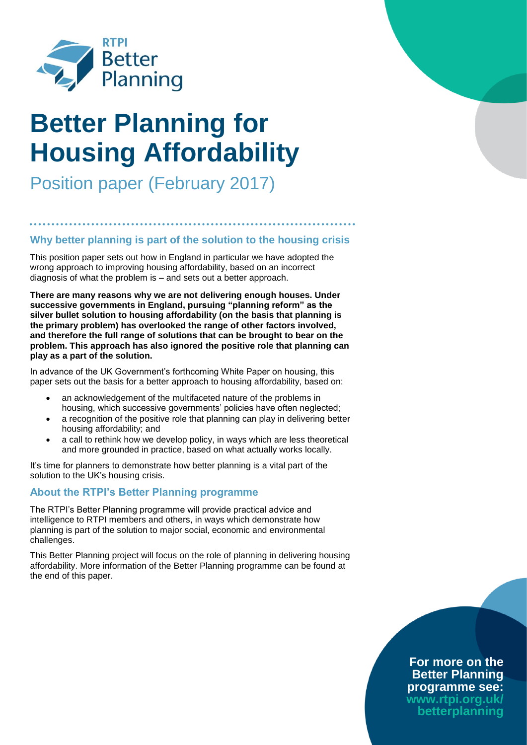

# **Better Planning for Housing Affordability**

Position paper (February 2017)

# **Why better planning is part of the solution to the housing crisis**

This position paper sets out how in England in particular we have adopted the wrong approach to improving housing affordability, based on an incorrect diagnosis of what the problem is – and sets out a better approach.

**There are many reasons why we are not delivering enough houses. Under successive governments in England, pursuing "planning reform" as the silver bullet solution to housing affordability (on the basis that planning is the primary problem) has overlooked the range of other factors involved, and therefore the full range of solutions that can be brought to bear on the problem. This approach has also ignored the positive role that planning can play as a part of the solution.**

In advance of the UK Government's forthcoming White Paper on housing, this paper sets out the basis for a better approach to housing affordability, based on:

- an acknowledgement of the multifaceted nature of the problems in housing, which successive governments' policies have often neglected;
- a recognition of the positive role that planning can play in delivering better housing affordability; and
- a call to rethink how we develop policy, in ways which are less theoretical and more grounded in practice, based on what actually works locally.

It's time for planners to demonstrate how better planning is a vital part of the solution to the UK's housing crisis.

### **About the RTPI's Better Planning programme**

The RTPI's Better Planning programme will provide practical advice and intelligence to RTPI members and others, in ways which demonstrate how planning is part of the solution to major social, economic and environmental challenges.

This Better Planning project will focus on the role of planning in delivering housing affordability. More information of the Better Planning programme can be found at the end of this paper.

## **For more on the Better Planning programme see: www.rtpi.org.uk/ betterplanning**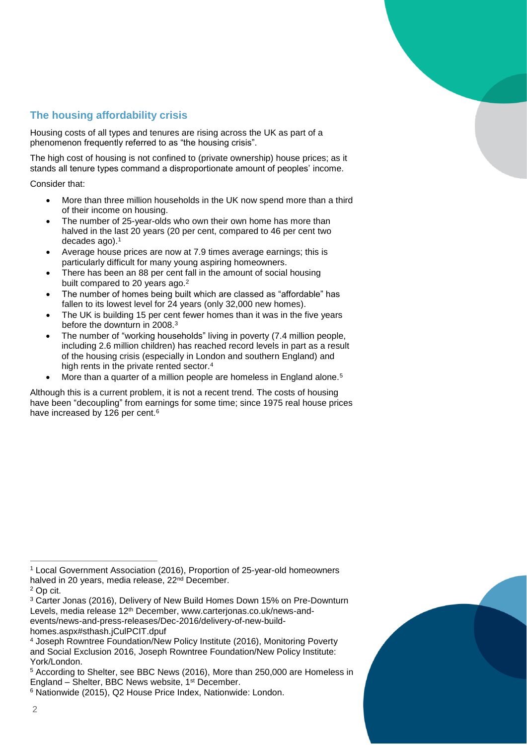# **The housing affordability crisis**

Housing costs of all types and tenures are rising across the UK as part of a phenomenon frequently referred to as "the housing crisis".

The high cost of housing is not confined to (private ownership) house prices; as it stands all tenure types command a disproportionate amount of peoples' income.

Consider that:

- More than three million households in the UK now spend more than a third of their income on housing.
- The number of 25-year-olds who own their own home has more than halved in the last 20 years (20 per cent, compared to 46 per cent two decades ago).<sup>1</sup>
- Average house prices are now at 7.9 times average earnings; this is particularly difficult for many young aspiring homeowners.
- There has been an 88 per cent fall in the amount of social housing built compared to 20 years ago.<sup>2</sup>
- The number of homes being built which are classed as "affordable" has fallen to its lowest level for 24 years (only 32,000 new homes).
- The UK is building 15 per cent fewer homes than it was in the five years before the downturn in 2008.<sup>3</sup>
- The number of "working households" living in poverty (7.4 million people, including 2.6 million children) has reached record levels in part as a result of the housing crisis (especially in London and southern England) and high rents in the private rented sector.<sup>4</sup>
- More than a quarter of a million people are homeless in England alone.<sup>5</sup>

Although this is a current problem, it is not a recent trend. The costs of housing have been "decoupling" from earnings for some time; since 1975 real house prices have increased by 126 per cent.<sup>6</sup>

<sup>1</sup> Local Government Association (2016), Proportion of 25-year-old homeowners halved in 20 years, media release, 22<sup>nd</sup> December.

<sup>2</sup> Op cit.

<sup>3</sup> Carter Jonas (2016), Delivery of New Build Homes Down 15% on Pre-Downturn Levels, media release 12<sup>th</sup> December, www.carterjonas.co.uk/news-andevents/news-and-press-releases/Dec-2016/delivery-of-new-buildhomes.aspx#sthash.jCulPCIT.dpuf

<sup>4</sup> Joseph Rowntree Foundation/New Policy Institute (2016), Monitoring Poverty and Social Exclusion 2016, Joseph Rowntree Foundation/New Policy Institute: York/London.

<sup>5</sup> According to Shelter, see BBC News (2016), More than 250,000 are Homeless in England – Shelter, BBC News website, 1<sup>st</sup> December.

<sup>6</sup> Nationwide (2015), Q2 House Price Index, Nationwide: London.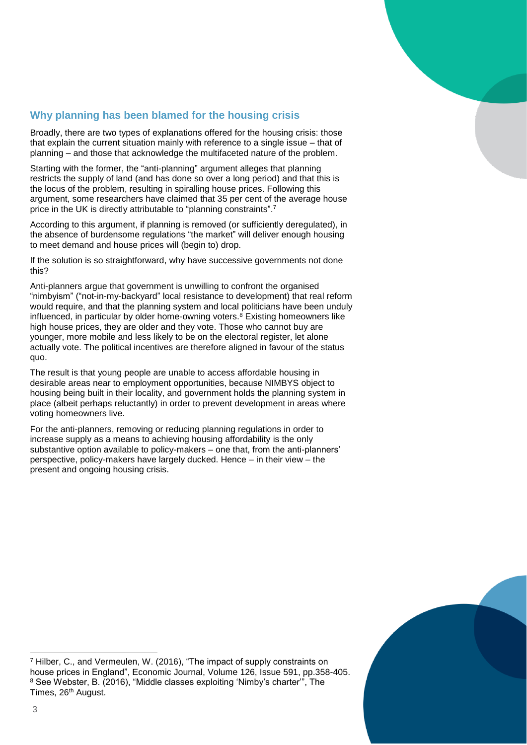

# **Why planning has been blamed for the housing crisis**

Broadly, there are two types of explanations offered for the housing crisis: those that explain the current situation mainly with reference to a single issue – that of planning – and those that acknowledge the multifaceted nature of the problem.

Starting with the former, the "anti-planning" argument alleges that planning restricts the supply of land (and has done so over a long period) and that this is the locus of the problem, resulting in spiralling house prices. Following this argument, some researchers have claimed that 35 per cent of the average house price in the UK is directly attributable to "planning constraints".<sup>7</sup>

According to this argument, if planning is removed (or sufficiently deregulated), in the absence of burdensome regulations "the market" will deliver enough housing to meet demand and house prices will (begin to) drop.

If the solution is so straightforward, why have successive governments not done this?

Anti-planners argue that government is unwilling to confront the organised "nimbyism" ("not-in-my-backyard" local resistance to development) that real reform would require, and that the planning system and local politicians have been unduly influenced, in particular by older home-owning voters. $8$  Existing homeowners like high house prices, they are older and they vote. Those who cannot buy are younger, more mobile and less likely to be on the electoral register, let alone actually vote. The political incentives are therefore aligned in favour of the status quo.

The result is that young people are unable to access affordable housing in desirable areas near to employment opportunities, because NIMBYS object to housing being built in their locality, and government holds the planning system in place (albeit perhaps reluctantly) in order to prevent development in areas where voting homeowners live.

For the anti-planners, removing or reducing planning regulations in order to increase supply as a means to achieving housing affordability is the only substantive option available to policy-makers – one that, from the anti-planners' perspective, policy-makers have largely ducked. Hence – in their view – the present and ongoing housing crisis.



 $\overline{a}$ <sup>7</sup> Hilber, C., and Vermeulen, W. (2016), "The impact of supply constraints on house prices in England", Economic Journal, Volume 126, Issue 591, pp.358-405. <sup>8</sup> See Webster, B. (2016), "Middle classes exploiting 'Nimby's charter'", The Times, 26<sup>th</sup> August.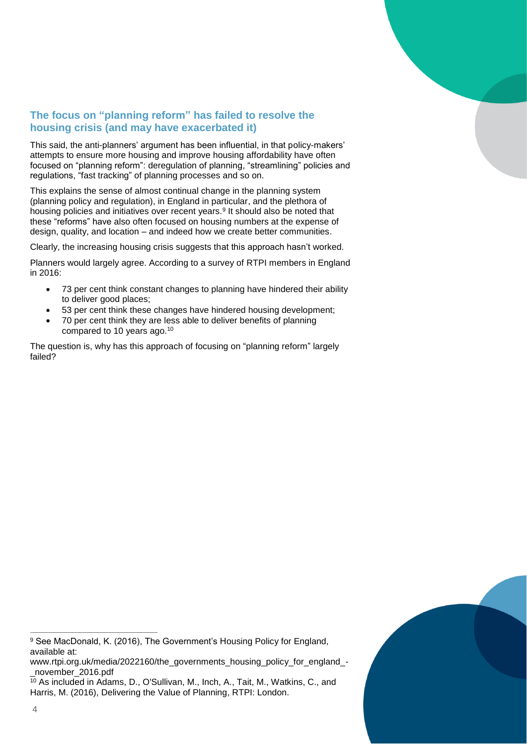

# **The focus on "planning reform" has failed to resolve the housing crisis (and may have exacerbated it)**

This said, the anti-planners' argument has been influential, in that policy-makers' attempts to ensure more housing and improve housing affordability have often focused on "planning reform": deregulation of planning, "streamlining" policies and regulations, "fast tracking" of planning processes and so on.

This explains the sense of almost continual change in the planning system (planning policy and regulation), in England in particular, and the plethora of housing policies and initiatives over recent years.<sup>9</sup> It should also be noted that these "reforms" have also often focused on housing numbers at the expense of design, quality, and location – and indeed how we create better communities.

Clearly, the increasing housing crisis suggests that this approach hasn't worked.

Planners would largely agree. According to a survey of RTPI members in England in 2016:

- 73 per cent think constant changes to planning have hindered their ability to deliver good places;
- 53 per cent think these changes have hindered housing development;
- 70 per cent think they are less able to deliver benefits of planning compared to 10 years ago. 10

The question is, why has this approach of focusing on "planning reform" largely failed?



www.rtpi.org.uk/media/2022160/the\_governments\_housing\_policy\_for\_england\_-\_november\_2016.pdf

<sup>10</sup> As included in Adams, D., O'Sullivan, M., Inch, A., Tait, M., Watkins, C., and Harris, M. (2016), Delivering the Value of Planning, RTPI: London.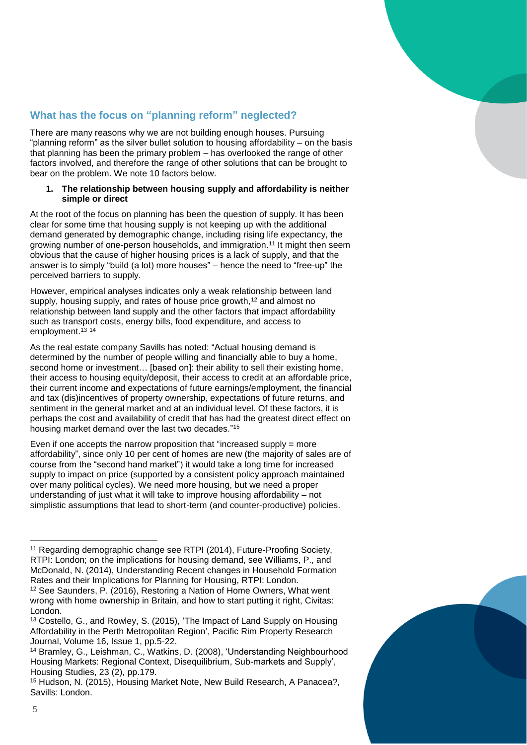

# **What has the focus on "planning reform" neglected?**

There are many reasons why we are not building enough houses. Pursuing "planning reform" as the silver bullet solution to housing affordability – on the basis that planning has been the primary problem – has overlooked the range of other factors involved, and therefore the range of other solutions that can be brought to bear on the problem. We note 10 factors below.

#### **1. The relationship between housing supply and affordability is neither simple or direct**

At the root of the focus on planning has been the question of supply. It has been clear for some time that housing supply is not keeping up with the additional demand generated by demographic change, including rising life expectancy, the growing number of one-person households, and immigration.<sup>11</sup> It might then seem obvious that the cause of higher housing prices is a lack of supply, and that the answer is to simply "build (a lot) more houses" – hence the need to "free-up" the perceived barriers to supply.

However, empirical analyses indicates only a weak relationship between land supply, housing supply, and rates of house price growth,<sup>12</sup> and almost no relationship between land supply and the other factors that impact affordability such as transport costs, energy bills, food expenditure, and access to employment.<sup>13</sup> 14

As the real estate company Savills has noted: "Actual housing demand is determined by the number of people willing and financially able to buy a home, second home or investment... [based on]: their ability to sell their existing home, their access to housing equity/deposit, their access to credit at an affordable price, their current income and expectations of future earnings/employment, the financial and tax (dis)incentives of property ownership, expectations of future returns, and sentiment in the general market and at an individual level. Of these factors, it is perhaps the cost and availability of credit that has had the greatest direct effect on housing market demand over the last two decades." 15

Even if one accepts the narrow proposition that "increased supply  $=$  more affordability", since only 10 per cent of homes are new (the majority of sales are of course from the "second hand market") it would take a long time for increased supply to impact on price (supported by a consistent policy approach maintained over many political cycles). We need more housing, but we need a proper understanding of just what it will take to improve housing affordability – not simplistic assumptions that lead to short-term (and counter-productive) policies.

<sup>11</sup> Regarding demographic change see RTPI (2014), Future-Proofing Society, RTPI: London; on the implications for housing demand, see Williams, P., and McDonald, N. (2014), Understanding Recent changes in Household Formation Rates and their Implications for Planning for Housing, RTPI: London.

<sup>12</sup> See Saunders, P. (2016), Restoring a Nation of Home Owners, What went wrong with home ownership in Britain, and how to start putting it right, Civitas: London.

<sup>13</sup> Costello, G., and Rowley, S. (2015), 'The Impact of Land Supply on Housing Affordability in the Perth Metropolitan Region', Pacific Rim Property Research Journal, Volume 16, Issue 1, pp.5-22.

<sup>14</sup> Bramley, G., Leishman, C., Watkins, D. (2008), 'Understanding Neighbourhood Housing Markets: Regional Context, Disequilibrium, Sub-markets and Supply', Housing Studies, 23 (2), pp.179.

<sup>15</sup> Hudson, N. (2015), Housing Market Note, New Build Research, A Panacea?, Savills: London.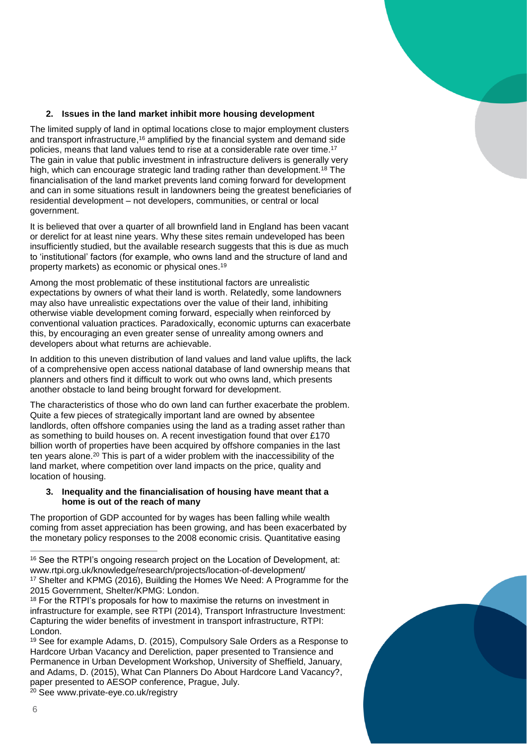

#### **2. Issues in the land market inhibit more housing development**

The limited supply of land in optimal locations close to major employment clusters and transport infrastructure,<sup>16</sup> amplified by the financial system and demand side policies, means that land values tend to rise at a considerable rate over time.<sup>17</sup> The gain in value that public investment in infrastructure delivers is generally very high, which can encourage strategic land trading rather than development.<sup>18</sup> The financialisation of the land market prevents land coming forward for development and can in some situations result in landowners being the greatest beneficiaries of residential development – not developers, communities, or central or local government.

It is believed that over a quarter of all brownfield land in England has been vacant or derelict for at least nine years. Why these sites remain undeveloped has been insufficiently studied, but the available research suggests that this is due as much to 'institutional' factors (for example, who owns land and the structure of land and property markets) as economic or physical ones. 19

Among the most problematic of these institutional factors are unrealistic expectations by owners of what their land is worth. Relatedly, some landowners may also have unrealistic expectations over the value of their land, inhibiting otherwise viable development coming forward, especially when reinforced by conventional valuation practices. Paradoxically, economic upturns can exacerbate this, by encouraging an even greater sense of unreality among owners and developers about what returns are achievable.

In addition to this uneven distribution of land values and land value uplifts, the lack of a comprehensive open access national database of land ownership means that planners and others find it difficult to work out who owns land, which presents another obstacle to land being brought forward for development.

The characteristics of those who do own land can further exacerbate the problem. Quite a few pieces of strategically important land are owned by absentee landlords, often offshore companies using the land as a trading asset rather than as something to build houses on. A recent investigation found that over £170 billion worth of properties have been acquired by offshore companies in the last ten years alone.<sup>20</sup> This is part of a wider problem with the inaccessibility of the land market, where competition over land impacts on the price, quality and location of housing.

#### **3. Inequality and the financialisation of housing have meant that a home is out of the reach of many**

The proportion of GDP accounted for by wages has been falling while wealth coming from asset appreciation has been growing, and has been exacerbated by the monetary policy responses to the 2008 economic crisis. Quantitative easing

<sup>18</sup> For the RTPI's proposals for how to maximise the returns on investment in infrastructure for example, see RTPI (2014), Transport Infrastructure Investment: Capturing the wider benefits of investment in transport infrastructure, RTPI: London.

<sup>20</sup> See www.private-eye.co.uk/registry

<sup>&</sup>lt;sup>16</sup> See the RTPI's ongoing research project on the Location of Development, at: www.rtpi.org.uk/knowledge/research/projects/location-of-development/ <sup>17</sup> Shelter and KPMG (2016), Building the Homes We Need: A Programme for the 2015 Government, Shelter/KPMG: London.

<sup>19</sup> See for example Adams, D. (2015), Compulsory Sale Orders as a Response to Hardcore Urban Vacancy and Dereliction, paper presented to Transience and Permanence in Urban Development Workshop, University of Sheffield, January, and Adams, D. (2015), What Can Planners Do About Hardcore Land Vacancy?, paper presented to AESOP conference, Prague, July.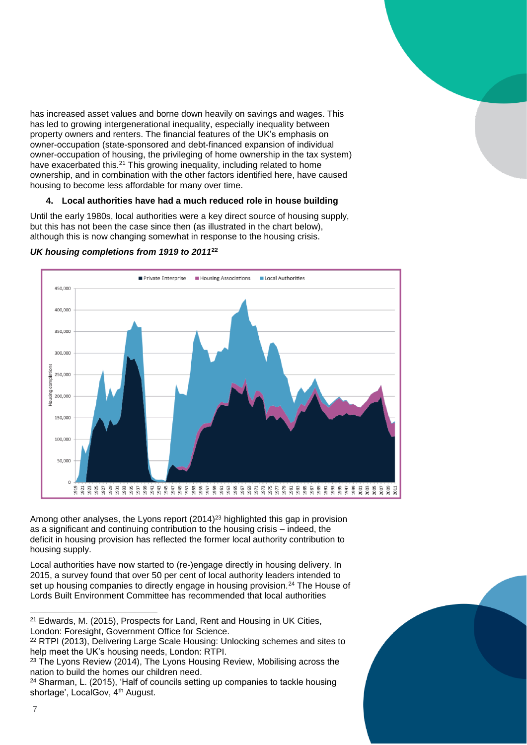has increased asset values and borne down heavily on savings and wages. This has led to growing intergenerational inequality, especially inequality between property owners and renters. The financial features of the UK's emphasis on owner-occupation (state-sponsored and debt-financed expansion of individual owner-occupation of housing, the privileging of home ownership in the tax system) have exacerbated this.<sup>21</sup> This growing inequality, including related to home ownership, and in combination with the other factors identified here, have caused housing to become less affordable for many over time.

#### **4. Local authorities have had a much reduced role in house building**

Until the early 1980s, local authorities were a key direct source of housing supply, but this has not been the case since then (as illustrated in the chart below), although this is now changing somewhat in response to the housing crisis.



#### *UK housing completions from 1919 to 2011***<sup>22</sup>**

Among other analyses, the Lyons report (2014) <sup>23</sup> highlighted this gap in provision as a significant and continuing contribution to the housing crisis – indeed, the deficit in housing provision has reflected the former local authority contribution to housing supply.

Local authorities have now started to (re-)engage directly in housing delivery. In 2015, a survey found that over 50 per cent of local authority leaders intended to set up housing companies to directly engage in housing provision.<sup>24</sup> The House of Lords Built Environment Committee has recommended that local authorities

<sup>&</sup>lt;sup>24</sup> Sharman, L. (2015), 'Half of councils setting up companies to tackle housing shortage', LocalGov, 4<sup>th</sup> August.



<sup>21</sup> Edwards, M. (2015), Prospects for Land, Rent and Housing in UK Cities, London: Foresight, Government Office for Science.

<sup>&</sup>lt;sup>22</sup> RTPI (2013), Delivering Large Scale Housing: Unlocking schemes and sites to help meet the UK's housing needs, London: RTPI.

 $23$  The Lyons Review (2014), The Lyons Housing Review, Mobilising across the nation to build the homes our children need.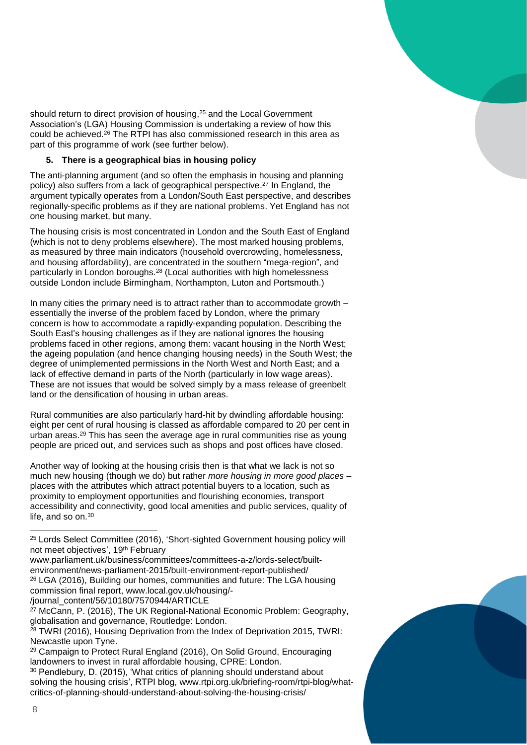should return to direct provision of housing, <sup>25</sup> and the Local Government Association's (LGA) Housing Commission is undertaking a review of how this could be achieved.<sup>26</sup> The RTPI has also commissioned research in this area as part of this programme of work (see further below).

#### **5. There is a geographical bias in housing policy**

The anti-planning argument (and so often the emphasis in housing and planning policy) also suffers from a lack of geographical perspective. <sup>27</sup> In England, the argument typically operates from a London/South East perspective, and describes regionally-specific problems as if they are national problems. Yet England has not one housing market, but many.

The housing crisis is most concentrated in London and the South East of England (which is not to deny problems elsewhere). The most marked housing problems, as measured by three main indicators (household overcrowding, homelessness, and housing affordability), are concentrated in the southern "mega-region", and particularly in London boroughs.<sup>28</sup> (Local authorities with high homelessness outside London include Birmingham, Northampton, Luton and Portsmouth.)

In many cities the primary need is to attract rather than to accommodate growth – essentially the inverse of the problem faced by London, where the primary concern is how to accommodate a rapidly-expanding population. Describing the South East's housing challenges as if they are national ignores the housing problems faced in other regions, among them: vacant housing in the North West; the ageing population (and hence changing housing needs) in the South West; the degree of unimplemented permissions in the North West and North East; and a lack of effective demand in parts of the North (particularly in low wage areas). These are not issues that would be solved simply by a mass release of greenbelt land or the densification of housing in urban areas.

Rural communities are also particularly hard-hit by dwindling affordable housing: eight per cent of rural housing is classed as affordable compared to 20 per cent in urban areas.<sup>29</sup> This has seen the average age in rural communities rise as young people are priced out, and services such as shops and post offices have closed.

Another way of looking at the housing crisis then is that what we lack is not so much new housing (though we do) but rather *more housing in more good places* – places with the attributes which attract potential buyers to a location, such as proximity to employment opportunities and flourishing economies, transport accessibility and connectivity, good local amenities and public services, quality of life, and so on.<sup>30</sup>

/journal\_content/56/10180/7570944/ARTICLE

<sup>27</sup> McCann, P. (2016), The UK Regional-National Economic Problem: Geography, globalisation and governance, Routledge: London.

<sup>28</sup> TWRI (2016), Housing Deprivation from the Index of Deprivation 2015, TWRI: Newcastle upon Tyne.

<sup>29</sup> Campaign to Protect Rural England (2016), On Solid Ground, Encouraging landowners to invest in rural affordable housing, CPRE: London.

<sup>30</sup> Pendlebury, D. (2015), 'What critics of planning should understand about solving the housing crisis', RTPI blog, www.rtpi.org.uk/briefing-room/rtpi-blog/whatcritics-of-planning-should-understand-about-solving-the-housing-crisis/

<sup>25</sup> Lords Select Committee (2016), 'Short-sighted Government housing policy will not meet objectives', 19th February

www.parliament.uk/business/committees/committees-a-z/lords-select/builtenvironment/news-parliament-2015/built-environment-report-published/ <sup>26</sup> LGA (2016), Building our homes, communities and future: The LGA housing commission final report, www.local.gov.uk/housing/-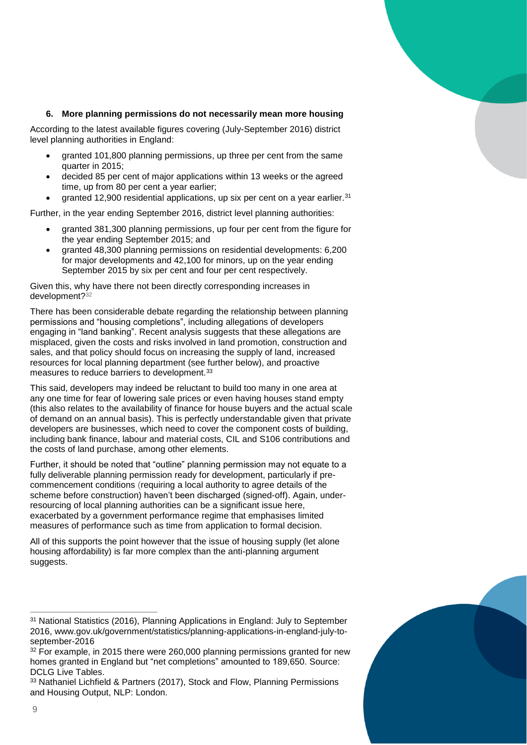#### **6. More planning permissions do not necessarily mean more housing**

According to the latest available figures covering (July-September 2016) district level planning authorities in England:

- granted 101,800 planning permissions, up three per cent from the same quarter in 2015;
- decided 85 per cent of major applications within 13 weeks or the agreed time, up from 80 per cent a year earlier;
- granted 12,900 residential applications, up six per cent on a year earlier.<sup>31</sup>

Further, in the year ending September 2016, district level planning authorities:

- granted 381,300 planning permissions, up four per cent from the figure for the year ending September 2015; and
- granted 48,300 planning permissions on residential developments: 6,200 for major developments and 42,100 for minors, up on the year ending September 2015 by six per cent and four per cent respectively.

Given this, why have there not been directly corresponding increases in development?<sup>32</sup>

There has been considerable debate regarding the relationship between planning permissions and "housing completions", including allegations of developers engaging in "land banking". Recent analysis suggests that these allegations are misplaced, given the costs and risks involved in land promotion, construction and sales, and that policy should focus on increasing the supply of land, increased resources for local planning department (see further below), and proactive measures to reduce barriers to development.<sup>33</sup>

This said, developers may indeed be reluctant to build too many in one area at any one time for fear of lowering sale prices or even having houses stand empty (this also relates to the availability of finance for house buyers and the actual scale of demand on an annual basis). This is perfectly understandable given that private developers are businesses, which need to cover the component costs of building, including bank finance, labour and material costs, CIL and S106 contributions and the costs of land purchase, among other elements.

Further, it should be noted that "outline" planning permission may not equate to a fully deliverable planning permission ready for development, particularly if precommencement conditions (requiring a local authority to agree details of the scheme before construction) haven't been discharged (signed-off). Again, underresourcing of local planning authorities can be a significant issue here, exacerbated by a government performance regime that emphasises limited measures of performance such as time from application to formal decision.

All of this supports the point however that the issue of housing supply (let alone housing affordability) is far more complex than the anti-planning argument suggests.

<sup>31</sup> National Statistics (2016), Planning Applications in England: July to September 2016, www.gov.uk/government/statistics/planning-applications-in-england-july-toseptember-2016

<sup>&</sup>lt;sup>32</sup> For example, in 2015 there were 260,000 planning permissions granted for new homes granted in England but "net completions" amounted to 189,650. Source: DCLG Live Tables.

<sup>33</sup> Nathaniel Lichfield & Partners (2017), Stock and Flow, Planning Permissions and Housing Output, NLP: London.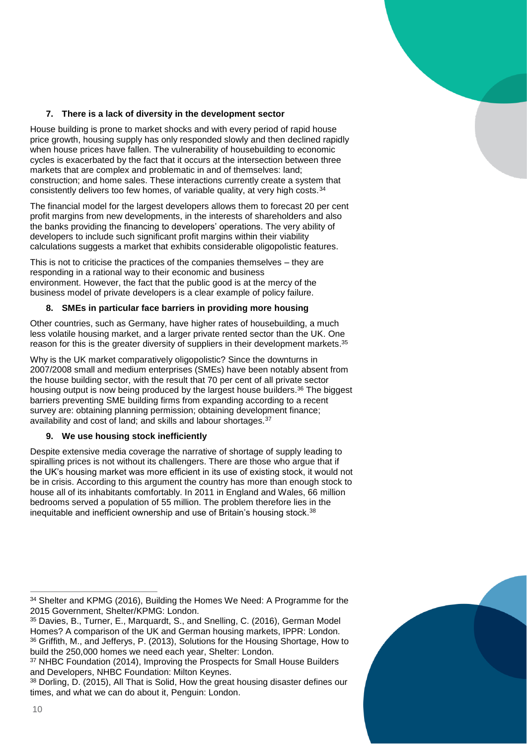

#### **7. There is a lack of diversity in the development sector**

House building is prone to market shocks and with every period of rapid house price growth, housing supply has only responded slowly and then declined rapidly when house prices have fallen. The vulnerability of housebuilding to economic cycles is exacerbated by the fact that it occurs at the intersection between three markets that are complex and problematic in and of themselves: land; construction; and home sales. These interactions currently create a system that consistently delivers too few homes, of variable quality, at very high costs.<sup>34</sup>

The financial model for the largest developers allows them to forecast 20 per cent profit margins from new developments, in the interests of shareholders and also the banks providing the financing to developers' operations. The very ability of developers to include such significant profit margins within their viability calculations suggests a market that exhibits considerable oligopolistic features.

This is not to criticise the practices of the companies themselves – they are responding in a rational way to their economic and business environment. However, the fact that the public good is at the mercy of the business model of private developers is a clear example of policy failure.

#### **8. SMEs in particular face barriers in providing more housing**

Other countries, such as Germany, have higher rates of housebuilding, a much less volatile housing market, and a larger private rented sector than the UK. One reason for this is the greater diversity of suppliers in their development markets.<sup>35</sup>

Why is the UK market comparatively oligopolistic? Since the downturns in 2007/2008 small and medium enterprises (SMEs) have been notably absent from the house building sector, with the result that 70 per cent of all private sector housing output is now being produced by the largest house builders.<sup>36</sup> The biggest barriers preventing SME building firms from expanding according to a recent survey are: obtaining planning permission; obtaining development finance; availability and cost of land; and skills and labour shortages.<sup>37</sup>

#### **9. We use housing stock inefficiently**

Despite extensive media coverage the narrative of shortage of supply leading to spiralling prices is not without its challengers. There are those who argue that if the UK's housing market was more efficient in its use of existing stock, it would not be in crisis. According to this argument the country has more than enough stock to house all of its inhabitants comfortably. In 2011 in England and Wales, 66 million bedrooms served a population of 55 million. The problem therefore lies in the inequitable and inefficient ownership and use of Britain's housing stock.<sup>38</sup>

<sup>38</sup> Dorling, D. (2015), All That is Solid, How the great housing disaster defines our times, and what we can do about it, Penguin: London.



 $\overline{a}$ <sup>34</sup> Shelter and KPMG (2016), Building the Homes We Need: A Programme for the 2015 Government, Shelter/KPMG: London.

<sup>35</sup> Davies, B., Turner, E., Marquardt, S., and Snelling, C. (2016), German Model Homes? A comparison of the UK and German housing markets, IPPR: London. <sup>36</sup> Griffith, M., and Jefferys, P. (2013), Solutions for the Housing Shortage, How to build the 250,000 homes we need each year, Shelter: London.

<sup>&</sup>lt;sup>37</sup> NHBC Foundation (2014), Improving the Prospects for Small House Builders and Developers, NHBC Foundation: Milton Keynes.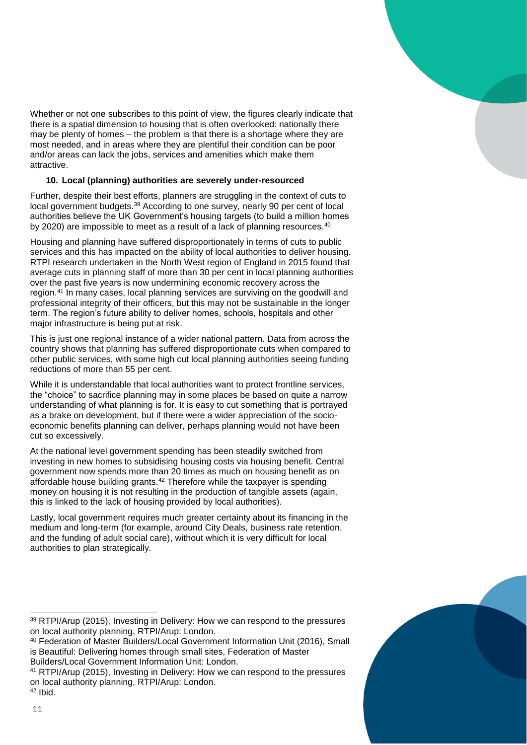

#### **10. Local (planning) authorities are severely under-resourced**

Further, despite their best efforts, planners are struggling in the context of cuts to local government budgets.<sup>39</sup> According to one survey, nearly 90 per cent of local authorities believe the UK Government's housing targets (to build a million homes by 2020) are impossible to meet as a result of a lack of planning resources.<sup>40</sup>

Housing and planning have suffered disproportionately in terms of cuts to public services and this has impacted on the ability of local authorities to deliver housing. RTPI research undertaken in the North West region of England in 2015 found that average cuts in planning staff of more than 30 per cent in local planning authorities over the past five years is now undermining economic recovery across the region.<sup>41</sup> In many cases, local planning services are surviving on the goodwill and professional integrity of their officers, but this may not be sustainable in the longer term. The region's future ability to deliver homes, schools, hospitals and other major infrastructure is being put at risk.

This is just one regional instance of a wider national pattern. Data from across the country shows that planning has suffered disproportionate cuts when compared to other public services, with some high cut local planning authorities seeing funding reductions of more than 55 per cent.

While it is understandable that local authorities want to protect frontline services, the "choice" to sacrifice planning may in some places be based on quite a narrow understanding of what planning is for. It is easy to cut something that is portrayed as a brake on development, but if there were a wider appreciation of the socioeconomic benefits planning can deliver, perhaps planning would not have been cut so excessively.

At the national level government spending has been steadily switched from investing in new homes to subsidising housing costs via housing benefit. Central government now spends more than 20 times as much on housing benefit as on affordable house building grants.<sup>42</sup> Therefore while the taxpayer is spending money on housing it is not resulting in the production of tangible assets (again, this is linked to the lack of housing provided by local authorities).

Lastly, local government requires much greater certainty about its financing in the medium and long-term (for example, around City Deals, business rate retention, and the funding of adult social care), without which it is very difficult for local authorities to plan strategically.

<sup>39</sup> RTPI/Arup (2015), Investing in Delivery: How we can respond to the pressures on local authority planning, RTPI/Arup: London.

<sup>40</sup> Federation of Master Builders/Local Government Information Unit (2016), Small is Beautiful: Delivering homes through small sites, Federation of Master Builders/Local Government Information Unit: London.

<sup>41</sup> RTPI/Arup (2015), Investing in Delivery: How we can respond to the pressures on local authority planning, RTPI/Arup: London.

<sup>42</sup> Ibid.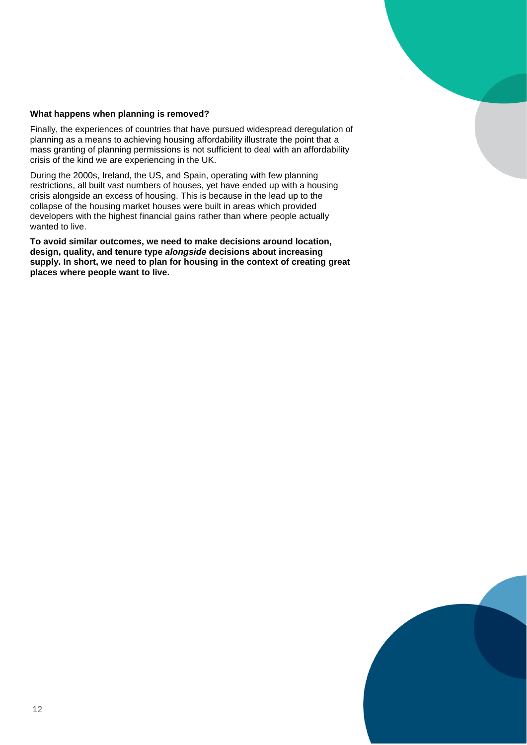

#### **What happens when planning is removed?**

Finally, the experiences of countries that have pursued widespread deregulation of planning as a means to achieving housing affordability illustrate the point that a mass granting of planning permissions is not sufficient to deal with an affordability crisis of the kind we are experiencing in the UK.

During the 2000s, Ireland, the US, and Spain, operating with few planning restrictions, all built vast numbers of houses, yet have ended up with a housing crisis alongside an excess of housing. This is because in the lead up to the collapse of the housing market houses were built in areas which provided developers with the highest financial gains rather than where people actually wanted to live.

**To avoid similar outcomes, we need to make decisions around location, design, quality, and tenure type** *alongside* **decisions about increasing supply. In short, we need to plan for housing in the context of creating great places where people want to live.**

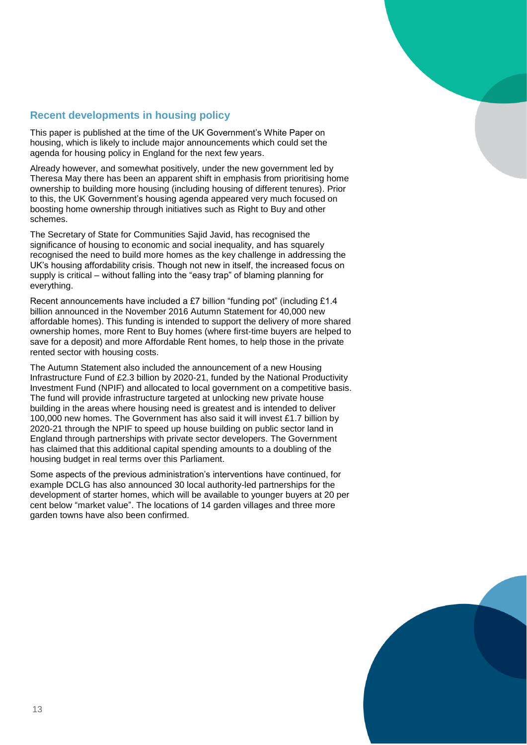# **Recent developments in housing policy**

This paper is published at the time of the UK Government's White Paper on housing, which is likely to include major announcements which could set the agenda for housing policy in England for the next few years.

Already however, and somewhat positively, under the new government led by Theresa May there has been an apparent shift in emphasis from prioritising home ownership to building more housing (including housing of different tenures). Prior to this, the UK Government's housing agenda appeared very much focused on boosting home ownership through initiatives such as Right to Buy and other schemes.

The Secretary of State for Communities Sajid Javid, has recognised the significance of housing to economic and social inequality, and has squarely recognised the need to build more homes as the key challenge in addressing the UK's housing affordability crisis. Though not new in itself, the increased focus on supply is critical – without falling into the "easy trap" of blaming planning for everything.

Recent announcements have included a £7 billion "funding pot" (including £1.4 billion announced in the November 2016 Autumn Statement for 40,000 new affordable homes). This funding is intended to support the delivery of more shared ownership homes, more Rent to Buy homes (where first-time buyers are helped to save for a deposit) and more Affordable Rent homes, to help those in the private rented sector with housing costs.

The Autumn Statement also included the announcement of a new Housing Infrastructure Fund of £2.3 billion by 2020-21, funded by the National Productivity Investment Fund (NPIF) and allocated to local government on a competitive basis. The fund will provide infrastructure targeted at unlocking new private house building in the areas where housing need is greatest and is intended to deliver 100,000 new homes. The Government has also said it will invest £1.7 billion by 2020-21 through the NPIF to speed up house building on public sector land in England through partnerships with private sector developers. The Government has claimed that this additional capital spending amounts to a doubling of the housing budget in real terms over this Parliament.

Some aspects of the previous administration's interventions have continued, for example DCLG has also announced 30 local authority-led partnerships for the development of starter homes, which will be available to younger buyers at 20 per cent below "market value". The locations of 14 garden villages and three more garden towns have also been confirmed.

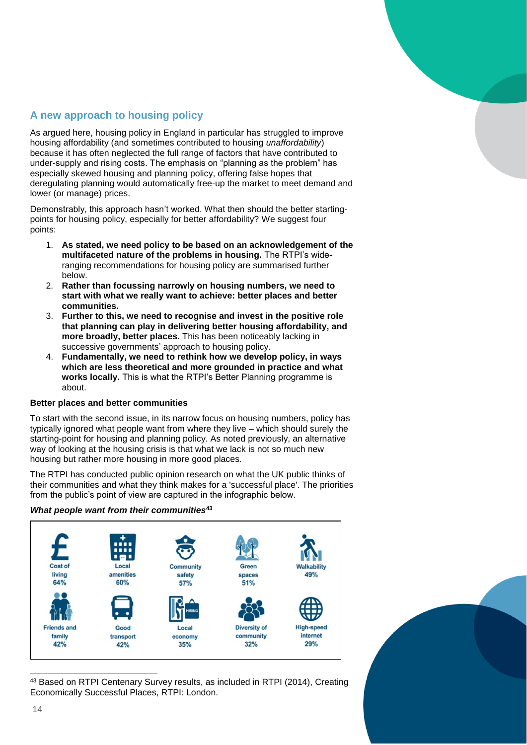# **A new approach to housing policy**

As argued here, housing policy in England in particular has struggled to improve housing affordability (and sometimes contributed to housing *unaffordability*) because it has often neglected the full range of factors that have contributed to under-supply and rising costs. The emphasis on "planning as the problem" has especially skewed housing and planning policy, offering false hopes that deregulating planning would automatically free-up the market to meet demand and lower (or manage) prices.

Demonstrably, this approach hasn't worked. What then should the better startingpoints for housing policy, especially for better affordability? We suggest four points:

- 1. **As stated, we need policy to be based on an acknowledgement of the multifaceted nature of the problems in housing.** The RTPI's wideranging recommendations for housing policy are summarised further below.
- 2. **Rather than focussing narrowly on housing numbers, we need to start with what we really want to achieve: better places and better communities.**
- 3. **Further to this, we need to recognise and invest in the positive role that planning can play in delivering better housing affordability, and more broadly, better places.** This has been noticeably lacking in successive governments' approach to housing policy.
- 4. **Fundamentally, we need to rethink how we develop policy, in ways which are less theoretical and more grounded in practice and what works locally.** This is what the RTPI's Better Planning programme is about.

#### **Better places and better communities**

To start with the second issue, in its narrow focus on housing numbers, policy has typically ignored what people want from where they live – which should surely the starting-point for housing and planning policy. As noted previously, an alternative way of looking at the housing crisis is that what we lack is not so much new housing but rather more housing in more good places.

The RTPI has conducted public opinion research on what the UK public thinks of their communities and what they think makes for a 'successful place'. The priorities from the public's point of view are captured in the infographic below.

#### *What people want from their communities***<sup>43</sup>**



 $\overline{a}$ 43 Based on RTPI Centenary Survey results, as included in RTPI (2014), Creating Economically Successful Places, RTPI: London.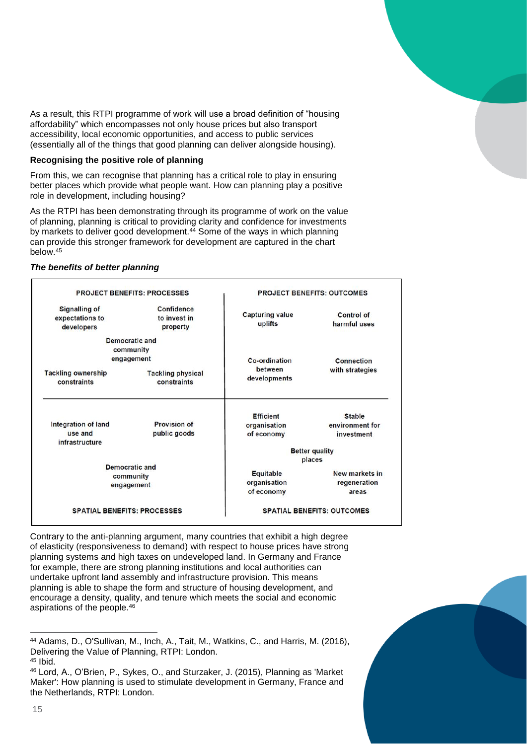As a result, this RTPI programme of work will use a broad definition of "housing affordability" which encompasses not only house prices but also transport accessibility, local economic opportunities, and access to public services (essentially all of the things that good planning can deliver alongside housing).

#### **Recognising the positive role of planning**

From this, we can recognise that planning has a critical role to play in ensuring better places which provide what people want. How can planning play a positive role in development, including housing?

As the RTPI has been demonstrating through its programme of work on the value of planning, planning is critical to providing clarity and confidence for investments by markets to deliver good development.<sup>44</sup> Some of the ways in which planning can provide this stronger framework for development are captured in the chart below.<sup>45</sup>

#### *The benefits of better planning*

| <b>PROJECT BENEFITS: PROCESSES</b>                    |                                               | <b>PROJECT BENEFITS: OUTCOMES</b>              |                                         |
|-------------------------------------------------------|-----------------------------------------------|------------------------------------------------|-----------------------------------------|
| <b>Signalling of</b><br>expectations to<br>developers | <b>Confidence</b><br>to invest in<br>property | <b>Capturing value</b><br>uplifts              | <b>Control of</b><br>harmful uses       |
| <b>Democratic and</b><br>community<br>engagement      |                                               | Co-ordination<br>between                       | Connection                              |
| <b>Tackling ownership</b><br>constraints              | <b>Tackling physical</b><br>constraints       | developments                                   | with strategies                         |
|                                                       |                                               | <b>Efficient</b>                               | <b>Stable</b>                           |
| Integration of land<br>use and<br>infrastructure      | <b>Provision of</b><br>public goods           | organisation<br>of economy                     | environment for<br>investment           |
|                                                       |                                               | <b>Better quality</b><br>places                |                                         |
| <b>Democratic and</b><br>community<br>engagement      |                                               | <b>Equitable</b><br>organisation<br>of economy | New markets in<br>regeneration<br>areas |
| <b>SPATIAL BENEFITS: PROCESSES</b>                    |                                               | <b>SPATIAL BENEFITS: OUTCOMES</b>              |                                         |

Contrary to the anti-planning argument, many countries that exhibit a high degree of elasticity (responsiveness to demand) with respect to house prices have strong planning systems and high taxes on undeveloped land. In Germany and France for example, there are strong planning institutions and local authorities can undertake upfront land assembly and infrastructure provision. This means planning is able to shape the form and structure of housing development, and encourage a density, quality, and tenure which meets the social and economic aspirations of the people.<sup>46</sup>

<sup>46</sup> Lord, A., O'Brien, P., Sykes, O., and Sturzaker, J. (2015), Planning as 'Market Maker': How planning is used to stimulate development in Germany, France and the Netherlands, RTPI: London.



<sup>44</sup> Adams, D., O'Sullivan, M., Inch, A., Tait, M., Watkins, C., and Harris, M. (2016), Delivering the Value of Planning, RTPI: London.

 $45$  Ibid.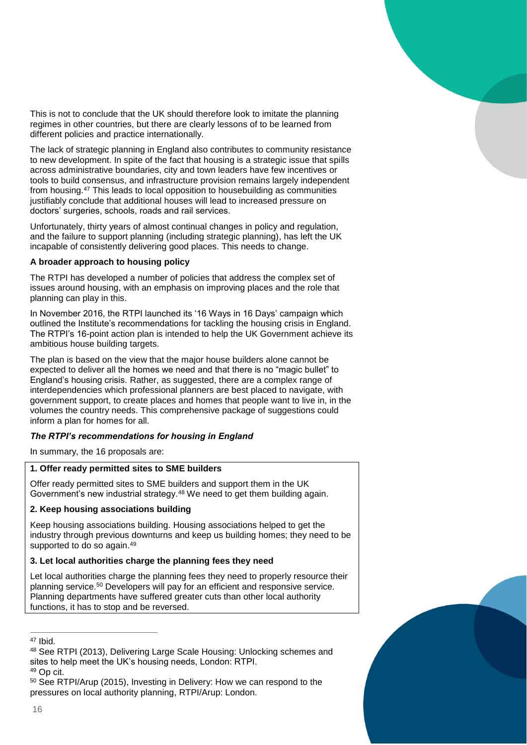This is not to conclude that the UK should therefore look to imitate the planning regimes in other countries, but there are clearly lessons of to be learned from different policies and practice internationally.

The lack of strategic planning in England also contributes to community resistance to new development. In spite of the fact that housing is a strategic issue that spills across administrative boundaries, city and town leaders have few incentives or tools to build consensus, and infrastructure provision remains largely independent from housing.<sup>47</sup> This leads to local opposition to housebuilding as communities justifiably conclude that additional houses will lead to increased pressure on doctors' surgeries, schools, roads and rail services.

Unfortunately, thirty years of almost continual changes in policy and regulation, and the failure to support planning (including strategic planning), has left the UK incapable of consistently delivering good places. This needs to change.

#### **A broader approach to housing policy**

The RTPI has developed a number of policies that address the complex set of issues around housing, with an emphasis on improving places and the role that planning can play in this.

In November 2016, the RTPI launched its '16 Ways in 16 Days' campaign which outlined the Institute's recommendations for tackling the housing crisis in England. The RTPI's 16-point action plan is intended to help the UK Government achieve its ambitious house building targets.

The plan is based on the view that the major house builders alone cannot be expected to deliver all the homes we need and that there is no "magic bullet" to England's housing crisis. Rather, as suggested, there are a complex range of interdependencies which professional planners are best placed to navigate, with government support, to create places and homes that people want to live in, in the volumes the country needs. This comprehensive package of suggestions could inform a plan for homes for all.

### *The RTPI's recommendations for housing in England*

In summary, the 16 proposals are:

#### **1. Offer ready permitted sites to SME builders**

Offer ready permitted sites to SME builders and support them in the UK Government's new industrial strategy.<sup>48</sup> We need to get them building again.

#### **2. Keep housing associations building**

Keep housing associations building. Housing associations helped to get the industry through previous downturns and keep us building homes; they need to be supported to do so again.<sup>49</sup>

#### **3. Let local authorities charge the planning fees they need**

Let local authorities charge the planning fees they need to properly resource their planning service.<sup>50</sup> Developers will pay for an efficient and responsive service. Planning departments have suffered greater cuts than other local authority functions, it has to stop and be reversed.

<sup>47</sup> Ibid.

<sup>48</sup> See RTPI (2013), Delivering Large Scale Housing: Unlocking schemes and sites to help meet the UK's housing needs, London: RTPI.

<sup>49</sup> Op cit.

<sup>50</sup> See RTPI/Arup (2015), Investing in Delivery: How we can respond to the pressures on local authority planning, RTPI/Arup: London.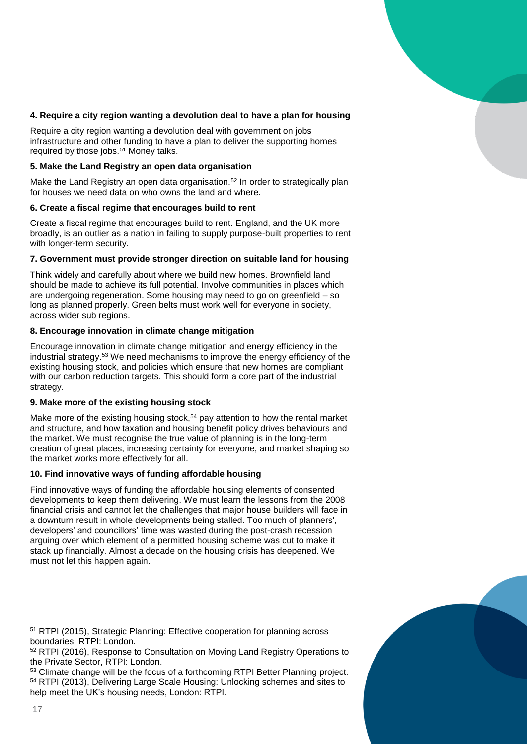#### **4. Require a city region wanting a devolution deal to have a plan for housing**

Require a city region wanting a devolution deal with government on jobs infrastructure and other funding to have a plan to deliver the supporting homes required by those jobs.<sup>51</sup> Money talks.

#### **5. Make the Land Registry an open data organisation**

Make the Land Registry an open data organisation.<sup>52</sup> In order to strategically plan for houses we need data on who owns the land and where.

#### **6. Create a fiscal regime that encourages build to rent**

Create a fiscal regime that encourages build to rent. England, and the UK more broadly, is an outlier as a nation in failing to supply purpose-built properties to rent with longer-term security.

#### **7. Government must provide stronger direction on suitable land for housing**

Think widely and carefully about where we build new homes. Brownfield land should be made to achieve its full potential. Involve communities in places which are undergoing regeneration. Some housing may need to go on greenfield – so long as planned properly. Green belts must work well for everyone in society, across wider sub regions.

#### **8. Encourage innovation in climate change mitigation**

Encourage innovation in climate change mitigation and energy efficiency in the industrial strategy.<sup>53</sup> We need mechanisms to improve the energy efficiency of the existing housing stock, and policies which ensure that new homes are compliant with our carbon reduction targets. This should form a core part of the industrial strategy.

#### **9. Make more of the existing housing stock**

Make more of the existing housing stock,<sup>54</sup> pay attention to how the rental market and structure, and how taxation and housing benefit policy drives behaviours and the market. We must recognise the true value of planning is in the long-term creation of great places, increasing certainty for everyone, and market shaping so the market works more effectively for all.

#### **10. Find innovative ways of funding affordable housing**

Find innovative ways of funding the affordable housing elements of consented developments to keep them delivering. We must learn the lessons from the 2008 financial crisis and cannot let the challenges that major house builders will face in a downturn result in whole developments being stalled. Too much of planners', developers' and councillors' time was wasted during the post-crash recession arguing over which element of a permitted housing scheme was cut to make it stack up financially. Almost a decade on the housing crisis has deepened. We must not let this happen again.

<sup>53</sup> Climate change will be the focus of a forthcoming RTPI Better Planning project. <sup>54</sup> RTPI (2013), Delivering Large Scale Housing: Unlocking schemes and sites to help meet the UK's housing needs, London: RTPI.



 $\overline{a}$ <sup>51</sup> RTPI (2015), Strategic Planning: Effective cooperation for planning across boundaries, RTPI: London.

<sup>52</sup> RTPI (2016), Response to Consultation on Moving Land Registry Operations to the Private Sector, RTPI: London.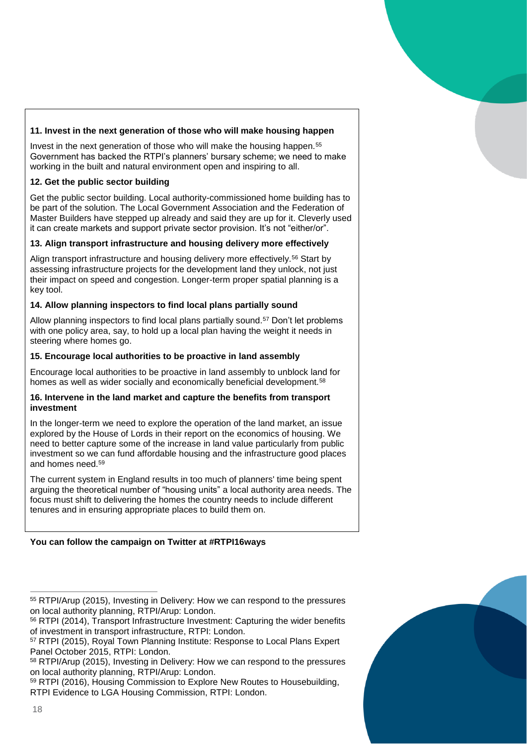#### **11. Invest in the next generation of those who will make housing happen**

Invest in the next generation of those who will make the housing happen.<sup>55</sup> Government has backed the RTPI's planners' bursary scheme; we need to make working in the built and natural environment open and inspiring to all.

#### **12. Get the public sector building**

Get the public sector building. Local authority-commissioned home building has to be part of the solution. The Local Government Association and the Federation of Master Builders have stepped up already and said they are up for it. Cleverly used it can create markets and support private sector provision. It's not "either/or".

#### **13. Align transport infrastructure and housing delivery more effectively**

Align transport infrastructure and housing delivery more effectively.<sup>56</sup> Start by assessing infrastructure projects for the development land they unlock, not just their impact on speed and congestion. Longer-term proper spatial planning is a key tool.

#### **14. Allow planning inspectors to find local plans partially sound**

Allow planning inspectors to find local plans partially sound.<sup>57</sup> Don't let problems with one policy area, say, to hold up a local plan having the weight it needs in steering where homes go.

#### **15. Encourage local authorities to be proactive in land assembly**

Encourage local authorities to be proactive in land assembly to unblock land for homes as well as wider socially and economically beneficial development.<sup>58</sup>

#### **16. Intervene in the land market and capture the benefits from transport investment**

In the longer-term we need to explore the operation of the land market, an issue explored by the House of Lords in their report on the economics of housing. We need to better capture some of the increase in land value particularly from public investment so we can fund affordable housing and the infrastructure good places and homes need.<sup>59</sup>

The current system in England results in too much of planners' time being spent arguing the theoretical number of "housing units" a local authority area needs. The focus must shift to delivering the homes the country needs to include different tenures and in ensuring appropriate places to build them on.

### **You can follow the campaign on Twitter at #RTPI16ways**

 $\overline{a}$ <sup>55</sup> RTPI/Arup (2015), Investing in Delivery: How we can respond to the pressures on local authority planning, RTPI/Arup: London.

<sup>56</sup> RTPI (2014), Transport Infrastructure Investment: Capturing the wider benefits of investment in transport infrastructure, RTPI: London.

<sup>57</sup> RTPI (2015), Royal Town Planning Institute: Response to Local Plans Expert Panel October 2015, RTPI: London.

<sup>58</sup> RTPI/Arup (2015), Investing in Delivery: How we can respond to the pressures on local authority planning, RTPI/Arup: London.

<sup>59</sup> RTPI (2016), Housing Commission to Explore New Routes to Housebuilding, RTPI Evidence to LGA Housing Commission, RTPI: London.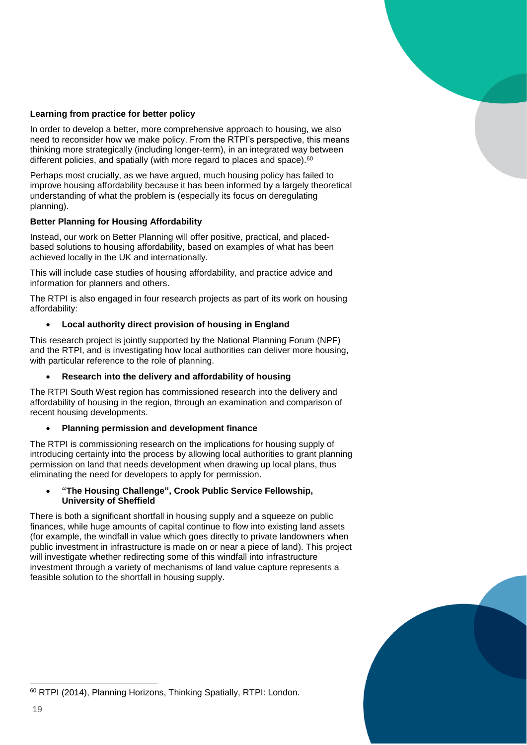

#### **Learning from practice for better policy**

In order to develop a better, more comprehensive approach to housing, we also need to reconsider how we make policy. From the RTPI's perspective, this means thinking more strategically (including longer-term), in an integrated way between different policies, and spatially (with more regard to places and space).<sup>60</sup>

Perhaps most crucially, as we have argued, much housing policy has failed to improve housing affordability because it has been informed by a largely theoretical understanding of what the problem is (especially its focus on deregulating planning).

#### **Better Planning for Housing Affordability**

Instead, our work on Better Planning will offer positive, practical, and placedbased solutions to housing affordability, based on examples of what has been achieved locally in the UK and internationally.

This will include case studies of housing affordability, and practice advice and information for planners and others.

The RTPI is also engaged in four research projects as part of its work on housing affordability:

#### **Local authority direct provision of housing in England**

This research project is jointly supported by the National Planning Forum (NPF) and the RTPI, and is investigating how local authorities can deliver more housing, with particular reference to the role of planning.

#### **Research into the delivery and affordability of housing**

The RTPI South West region has commissioned research into the delivery and affordability of housing in the region, through an examination and comparison of recent housing developments.

#### **Planning permission and development finance**

The RTPI is commissioning research on the implications for housing supply of introducing certainty into the process by allowing local authorities to grant planning permission on land that needs development when drawing up local plans, thus eliminating the need for developers to apply for permission.

#### **"The Housing Challenge", Crook Public Service Fellowship, University of Sheffield**

There is both a significant shortfall in housing supply and a squeeze on public finances, while huge amounts of capital continue to flow into existing land assets (for example, the windfall in value which goes directly to private landowners when public investment in infrastructure is made on or near a piece of land). This project will investigate whether redirecting some of this windfall into infrastructure investment through a variety of mechanisms of land value capture represents a feasible solution to the shortfall in housing supply.



<sup>60</sup> RTPI (2014), Planning Horizons, Thinking Spatially, RTPI: London.